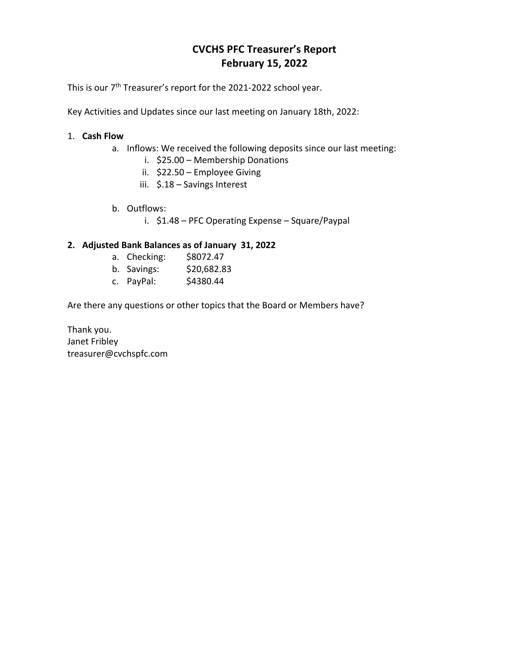# **CVCHS PFC Treasurer's Report February 15, 2022**

This is our 7<sup>th</sup> Treasurer's report for the 2021-2022 school year.

Key Activities and Updates since our last meeting on January 18th, 2022:

### 1. **Cash Flow**

- a. Inflows: We received the following deposits since our last meeting:
	- i. \$25.00 Membership Donations
	- ii. \$22.50 Employee Giving
	- iii. \$.18 Savings Interest
- b. Outflows:
	- i. \$1.48 PFC Operating Expense Square/Paypal

## **2. Adjusted Bank Balances as of January 31, 2022**

- a. Checking: \$8072.47
- b. Savings: \$20,682.83
- c. PayPal: \$4380.44

Are there any questions or other topics that the Board or Members have?

Thank you. Janet Fribley treasurer@cvchspfc.com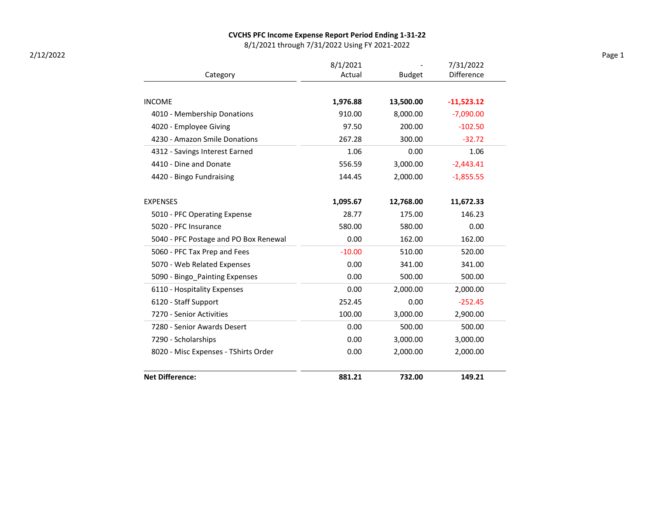#### CVCHS PFC Income Expense Report Period Ending 1-31-22

8/1/2021 through 7/31/2022 Using FY 2021-2022

|                                       | 8/1/2021 |               | 7/31/2022    |  |
|---------------------------------------|----------|---------------|--------------|--|
| Category                              | Actual   | <b>Budget</b> | Difference   |  |
| <b>INCOME</b>                         | 1,976.88 | 13,500.00     | $-11,523.12$ |  |
| 4010 - Membership Donations           | 910.00   | 8,000.00      | $-7,090.00$  |  |
| 4020 - Employee Giving                | 97.50    | 200.00        | $-102.50$    |  |
| 4230 - Amazon Smile Donations         | 267.28   | 300.00        | $-32.72$     |  |
| 4312 - Savings Interest Earned        | 1.06     | 0.00          | 1.06         |  |
| 4410 - Dine and Donate                | 556.59   | 3,000.00      | $-2,443.41$  |  |
| 4420 - Bingo Fundraising              | 144.45   | 2,000.00      | $-1,855.55$  |  |
| <b>EXPENSES</b>                       | 1,095.67 | 12,768.00     | 11,672.33    |  |
| 5010 - PFC Operating Expense          | 28.77    | 175.00        | 146.23       |  |
| 5020 - PFC Insurance                  | 580.00   | 580.00        | 0.00         |  |
| 5040 - PFC Postage and PO Box Renewal | 0.00     | 162.00        | 162.00       |  |
| 5060 - PFC Tax Prep and Fees          | $-10.00$ | 510.00        | 520.00       |  |
| 5070 - Web Related Expenses           | 0.00     | 341.00        | 341.00       |  |
| 5090 - Bingo_Painting Expenses        | 0.00     | 500.00        | 500.00       |  |
| 6110 - Hospitality Expenses           | 0.00     | 2,000.00      | 2,000.00     |  |
| 6120 - Staff Support                  | 252.45   | 0.00          | $-252.45$    |  |
| 7270 - Senior Activities              | 100.00   | 3,000.00      | 2,900.00     |  |
| 7280 - Senior Awards Desert           | 0.00     | 500.00        | 500.00       |  |
| 7290 - Scholarships                   | 0.00     | 3,000.00      | 3,000.00     |  |
| 8020 - Misc Expenses - TShirts Order  | 0.00     | 2,000.00      | 2,000.00     |  |
| <b>Net Difference:</b>                | 881.21   | 732.00        | 149.21       |  |

2/12/2022 Page 1